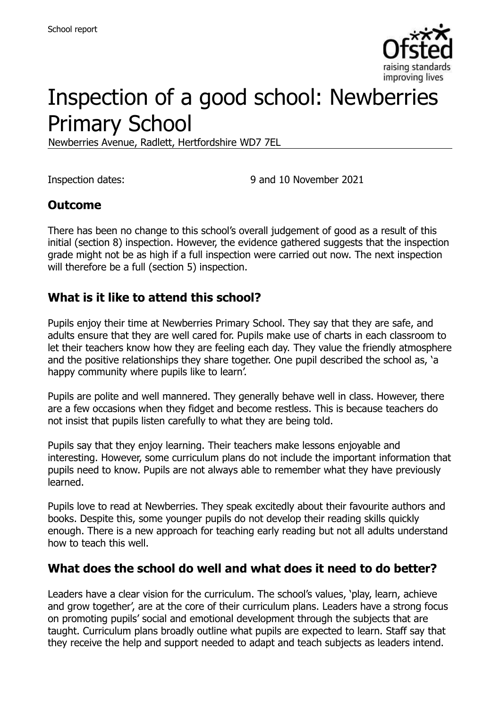

# Inspection of a good school: Newberries Primary School

Newberries Avenue, Radlett, Hertfordshire WD7 7EL

Inspection dates: 9 and 10 November 2021

### **Outcome**

There has been no change to this school's overall judgement of good as a result of this initial (section 8) inspection. However, the evidence gathered suggests that the inspection grade might not be as high if a full inspection were carried out now. The next inspection will therefore be a full (section 5) inspection.

#### **What is it like to attend this school?**

Pupils enjoy their time at Newberries Primary School. They say that they are safe, and adults ensure that they are well cared for. Pupils make use of charts in each classroom to let their teachers know how they are feeling each day. They value the friendly atmosphere and the positive relationships they share together. One pupil described the school as, 'a happy community where pupils like to learn'.

Pupils are polite and well mannered. They generally behave well in class. However, there are a few occasions when they fidget and become restless. This is because teachers do not insist that pupils listen carefully to what they are being told.

Pupils say that they enjoy learning. Their teachers make lessons enjoyable and interesting. However, some curriculum plans do not include the important information that pupils need to know. Pupils are not always able to remember what they have previously learned.

Pupils love to read at Newberries. They speak excitedly about their favourite authors and books. Despite this, some younger pupils do not develop their reading skills quickly enough. There is a new approach for teaching early reading but not all adults understand how to teach this well.

### **What does the school do well and what does it need to do better?**

Leaders have a clear vision for the curriculum. The school's values, 'play, learn, achieve and grow together', are at the core of their curriculum plans. Leaders have a strong focus on promoting pupils' social and emotional development through the subjects that are taught. Curriculum plans broadly outline what pupils are expected to learn. Staff say that they receive the help and support needed to adapt and teach subjects as leaders intend.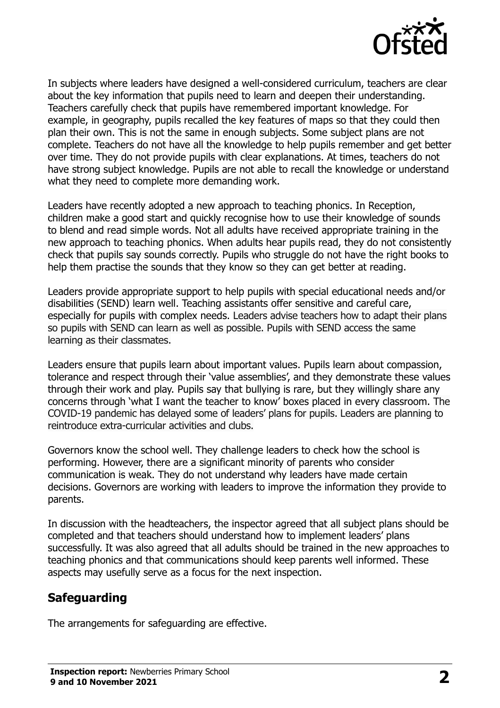

In subjects where leaders have designed a well-considered curriculum, teachers are clear about the key information that pupils need to learn and deepen their understanding. Teachers carefully check that pupils have remembered important knowledge. For example, in geography, pupils recalled the key features of maps so that they could then plan their own. This is not the same in enough subjects. Some subject plans are not complete. Teachers do not have all the knowledge to help pupils remember and get better over time. They do not provide pupils with clear explanations. At times, teachers do not have strong subject knowledge. Pupils are not able to recall the knowledge or understand what they need to complete more demanding work.

Leaders have recently adopted a new approach to teaching phonics. In Reception, children make a good start and quickly recognise how to use their knowledge of sounds to blend and read simple words. Not all adults have received appropriate training in the new approach to teaching phonics. When adults hear pupils read, they do not consistently check that pupils say sounds correctly. Pupils who struggle do not have the right books to help them practise the sounds that they know so they can get better at reading.

Leaders provide appropriate support to help pupils with special educational needs and/or disabilities (SEND) learn well. Teaching assistants offer sensitive and careful care, especially for pupils with complex needs. Leaders advise teachers how to adapt their plans so pupils with SEND can learn as well as possible. Pupils with SEND access the same learning as their classmates.

Leaders ensure that pupils learn about important values. Pupils learn about compassion, tolerance and respect through their 'value assemblies', and they demonstrate these values through their work and play. Pupils say that bullying is rare, but they willingly share any concerns through 'what I want the teacher to know' boxes placed in every classroom. The COVID-19 pandemic has delayed some of leaders' plans for pupils. Leaders are planning to reintroduce extra-curricular activities and clubs.

Governors know the school well. They challenge leaders to check how the school is performing. However, there are a significant minority of parents who consider communication is weak. They do not understand why leaders have made certain decisions. Governors are working with leaders to improve the information they provide to parents.

In discussion with the headteachers, the inspector agreed that all subject plans should be completed and that teachers should understand how to implement leaders' plans successfully. It was also agreed that all adults should be trained in the new approaches to teaching phonics and that communications should keep parents well informed. These aspects may usefully serve as a focus for the next inspection.

# **Safeguarding**

The arrangements for safeguarding are effective.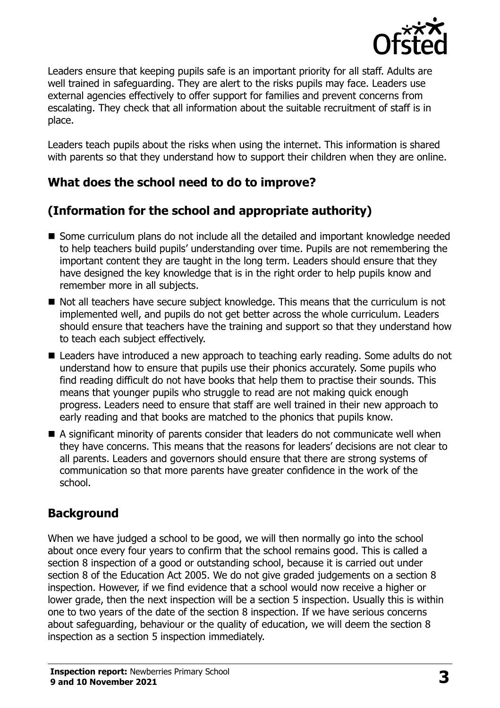

Leaders ensure that keeping pupils safe is an important priority for all staff. Adults are well trained in safeguarding. They are alert to the risks pupils may face. Leaders use external agencies effectively to offer support for families and prevent concerns from escalating. They check that all information about the suitable recruitment of staff is in place.

Leaders teach pupils about the risks when using the internet. This information is shared with parents so that they understand how to support their children when they are online.

# **What does the school need to do to improve?**

# **(Information for the school and appropriate authority)**

- Some curriculum plans do not include all the detailed and important knowledge needed to help teachers build pupils' understanding over time. Pupils are not remembering the important content they are taught in the long term. Leaders should ensure that they have designed the key knowledge that is in the right order to help pupils know and remember more in all subjects.
- $\blacksquare$  Not all teachers have secure subject knowledge. This means that the curriculum is not implemented well, and pupils do not get better across the whole curriculum. Leaders should ensure that teachers have the training and support so that they understand how to teach each subject effectively.
- Leaders have introduced a new approach to teaching early reading. Some adults do not understand how to ensure that pupils use their phonics accurately. Some pupils who find reading difficult do not have books that help them to practise their sounds. This means that younger pupils who struggle to read are not making quick enough progress. Leaders need to ensure that staff are well trained in their new approach to early reading and that books are matched to the phonics that pupils know.
- A significant minority of parents consider that leaders do not communicate well when they have concerns. This means that the reasons for leaders' decisions are not clear to all parents. Leaders and governors should ensure that there are strong systems of communication so that more parents have greater confidence in the work of the school.

# **Background**

When we have judged a school to be good, we will then normally go into the school about once every four years to confirm that the school remains good. This is called a section 8 inspection of a good or outstanding school, because it is carried out under section 8 of the Education Act 2005. We do not give graded judgements on a section 8 inspection. However, if we find evidence that a school would now receive a higher or lower grade, then the next inspection will be a section 5 inspection. Usually this is within one to two years of the date of the section 8 inspection. If we have serious concerns about safeguarding, behaviour or the quality of education, we will deem the section 8 inspection as a section 5 inspection immediately.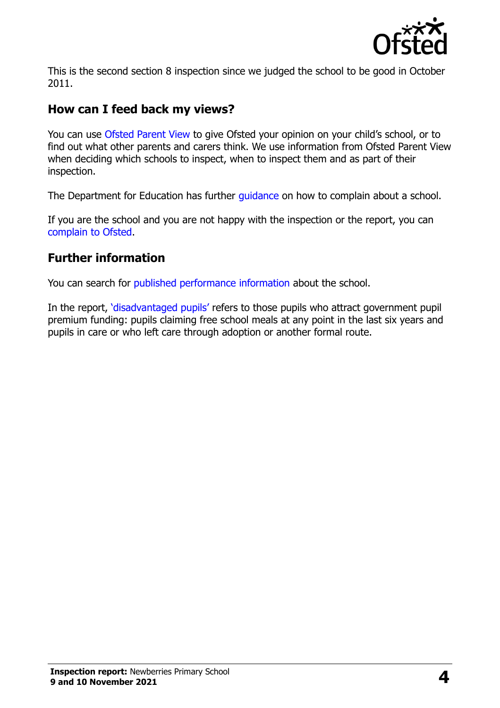

This is the second section 8 inspection since we judged the school to be good in October 2011.

### **How can I feed back my views?**

You can use [Ofsted Parent View](https://parentview.ofsted.gov.uk/) to give Ofsted your opinion on your child's school, or to find out what other parents and carers think. We use information from Ofsted Parent View when deciding which schools to inspect, when to inspect them and as part of their inspection.

The Department for Education has further quidance on how to complain about a school.

If you are the school and you are not happy with the inspection or the report, you can [complain to Ofsted.](https://www.gov.uk/complain-ofsted-report)

### **Further information**

You can search for [published performance information](http://www.compare-school-performance.service.gov.uk/) about the school.

In the report, '[disadvantaged pupils](http://www.gov.uk/guidance/pupil-premium-information-for-schools-and-alternative-provision-settings)' refers to those pupils who attract government pupil premium funding: pupils claiming free school meals at any point in the last six years and pupils in care or who left care through adoption or another formal route.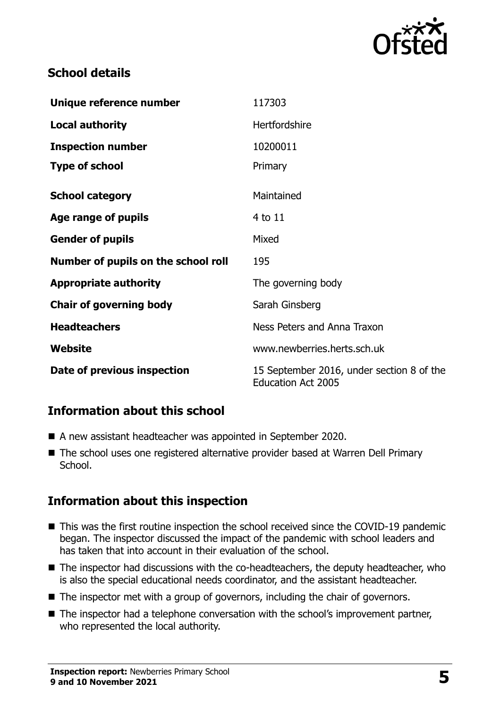

## **School details**

| Unique reference number             | 117303                                                                 |
|-------------------------------------|------------------------------------------------------------------------|
| <b>Local authority</b>              | Hertfordshire                                                          |
| <b>Inspection number</b>            | 10200011                                                               |
| <b>Type of school</b>               | Primary                                                                |
| <b>School category</b>              | Maintained                                                             |
| Age range of pupils                 | 4 to 11                                                                |
| <b>Gender of pupils</b>             | Mixed                                                                  |
| Number of pupils on the school roll | 195                                                                    |
| <b>Appropriate authority</b>        | The governing body                                                     |
| <b>Chair of governing body</b>      | Sarah Ginsberg                                                         |
| <b>Headteachers</b>                 | Ness Peters and Anna Traxon                                            |
| Website                             | www.newberries.herts.sch.uk                                            |
| Date of previous inspection         | 15 September 2016, under section 8 of the<br><b>Education Act 2005</b> |

### **Information about this school**

- A new assistant headteacher was appointed in September 2020.
- The school uses one registered alternative provider based at Warren Dell Primary School.

# **Information about this inspection**

- This was the first routine inspection the school received since the COVID-19 pandemic began. The inspector discussed the impact of the pandemic with school leaders and has taken that into account in their evaluation of the school.
- $\blacksquare$  The inspector had discussions with the co-headteachers, the deputy headteacher, who is also the special educational needs coordinator, and the assistant headteacher.
- The inspector met with a group of governors, including the chair of governors.
- The inspector had a telephone conversation with the school's improvement partner, who represented the local authority.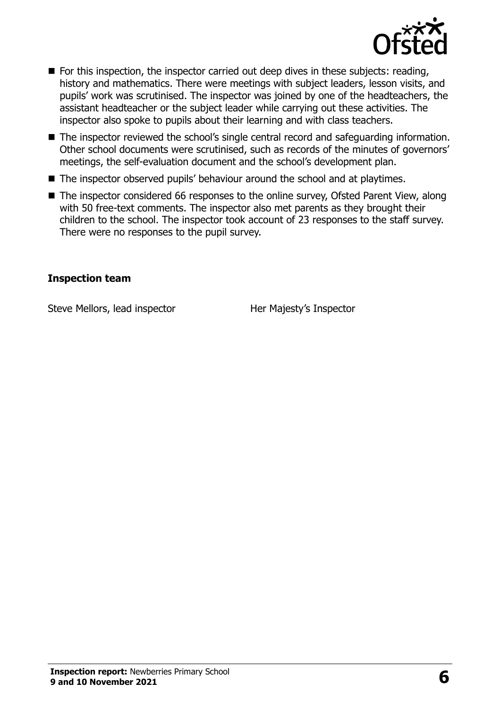

- For this inspection, the inspector carried out deep dives in these subjects: reading, history and mathematics. There were meetings with subject leaders, lesson visits, and pupils' work was scrutinised. The inspector was joined by one of the headteachers, the assistant headteacher or the subject leader while carrying out these activities. The inspector also spoke to pupils about their learning and with class teachers.
- The inspector reviewed the school's single central record and safeguarding information. Other school documents were scrutinised, such as records of the minutes of governors' meetings, the self-evaluation document and the school's development plan.
- The inspector observed pupils' behaviour around the school and at playtimes.
- The inspector considered 66 responses to the online survey, Ofsted Parent View, along with 50 free-text comments. The inspector also met parents as they brought their children to the school. The inspector took account of 23 responses to the staff survey. There were no responses to the pupil survey.

#### **Inspection team**

Steve Mellors, lead inspector **Her Majesty's Inspector**